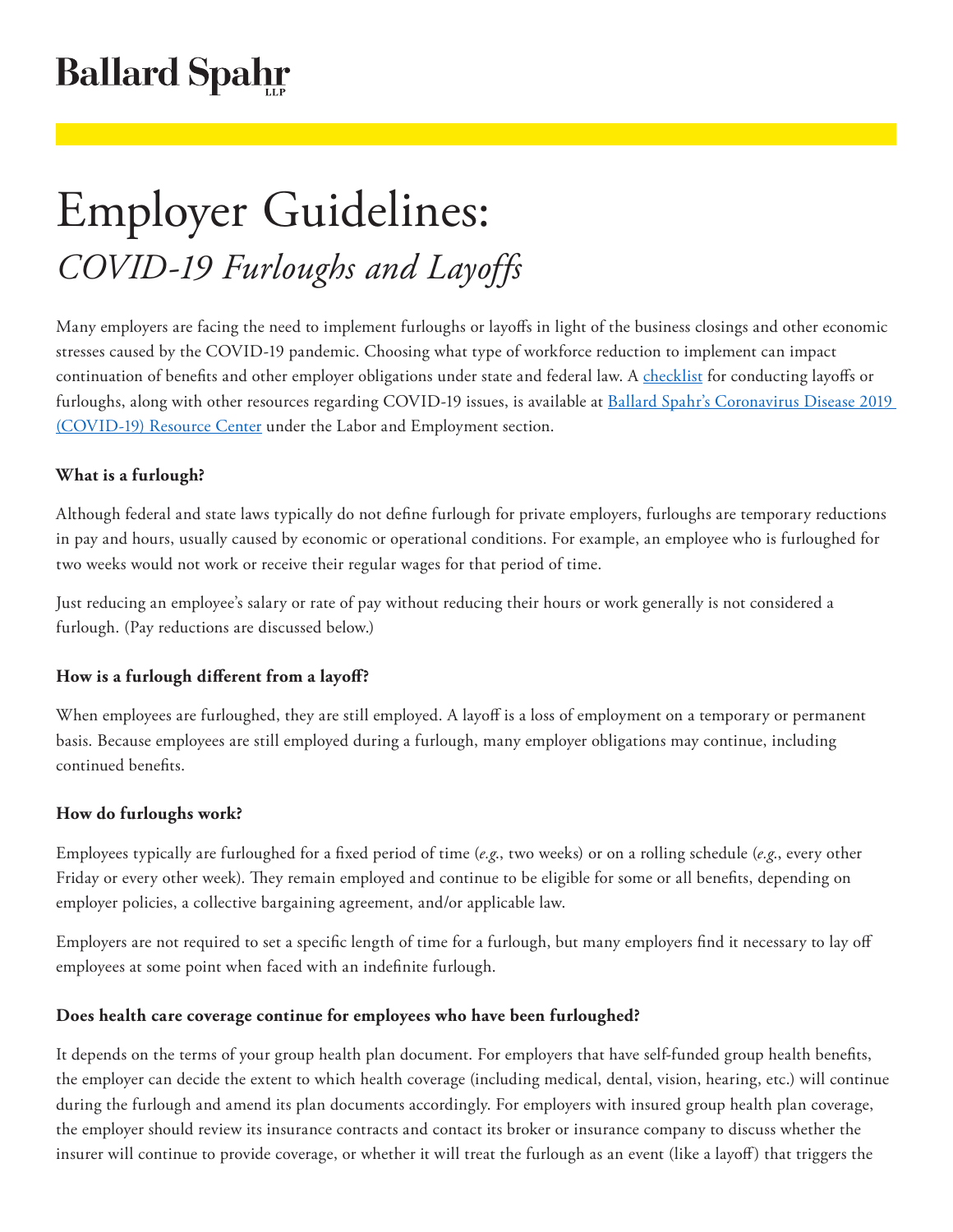## **Ballard Spahr**

# Employer Guidelines: *COVID-19 Furloughs and Layoffs*

Many employers are facing the need to implement furloughs or layoffs in light of the business closings and other economic stresses caused by the COVID-19 pandemic. Choosing what type of workforce reduction to implement can impact continuation of benefits and other employer obligations under state and federal law. A [checklist](https://www.ballardspahr.com/furlough-layoff-checklist) for conducting layoffs or furloughs, along with other resources regarding COVID-19 issues, is available at Ballard Spahr's Coronavirus Disease 2019 [\(COVID-19\) Resource Center](https://www.ballardspahr.com/practiceareas/initiatives/coronavirus-disease-2019-covid-19-resource-center) under the Labor and Employment section.

#### **What is a furlough?**

Although federal and state laws typically do not define furlough for private employers, furloughs are temporary reductions in pay and hours, usually caused by economic or operational conditions. For example, an employee who is furloughed for two weeks would not work or receive their regular wages for that period of time.

Just reducing an employee's salary or rate of pay without reducing their hours or work generally is not considered a furlough. (Pay reductions are discussed below.)

#### **How is a furlough different from a layoff?**

When employees are furloughed, they are still employed. A layoff is a loss of employment on a temporary or permanent basis. Because employees are still employed during a furlough, many employer obligations may continue, including continued benefits.

#### **How do furloughs work?**

Employees typically are furloughed for a fixed period of time (*e.g*., two weeks) or on a rolling schedule (*e.g*., every other Friday or every other week). They remain employed and continue to be eligible for some or all benefits, depending on employer policies, a collective bargaining agreement, and/or applicable law.

Employers are not required to set a specific length of time for a furlough, but many employers find it necessary to lay off employees at some point when faced with an indefinite furlough.

#### **Does health care coverage continue for employees who have been furloughed?**

It depends on the terms of your group health plan document. For employers that have self-funded group health benefits, the employer can decide the extent to which health coverage (including medical, dental, vision, hearing, etc.) will continue during the furlough and amend its plan documents accordingly. For employers with insured group health plan coverage, the employer should review its insurance contracts and contact its broker or insurance company to discuss whether the insurer will continue to provide coverage, or whether it will treat the furlough as an event (like a layoff) that triggers the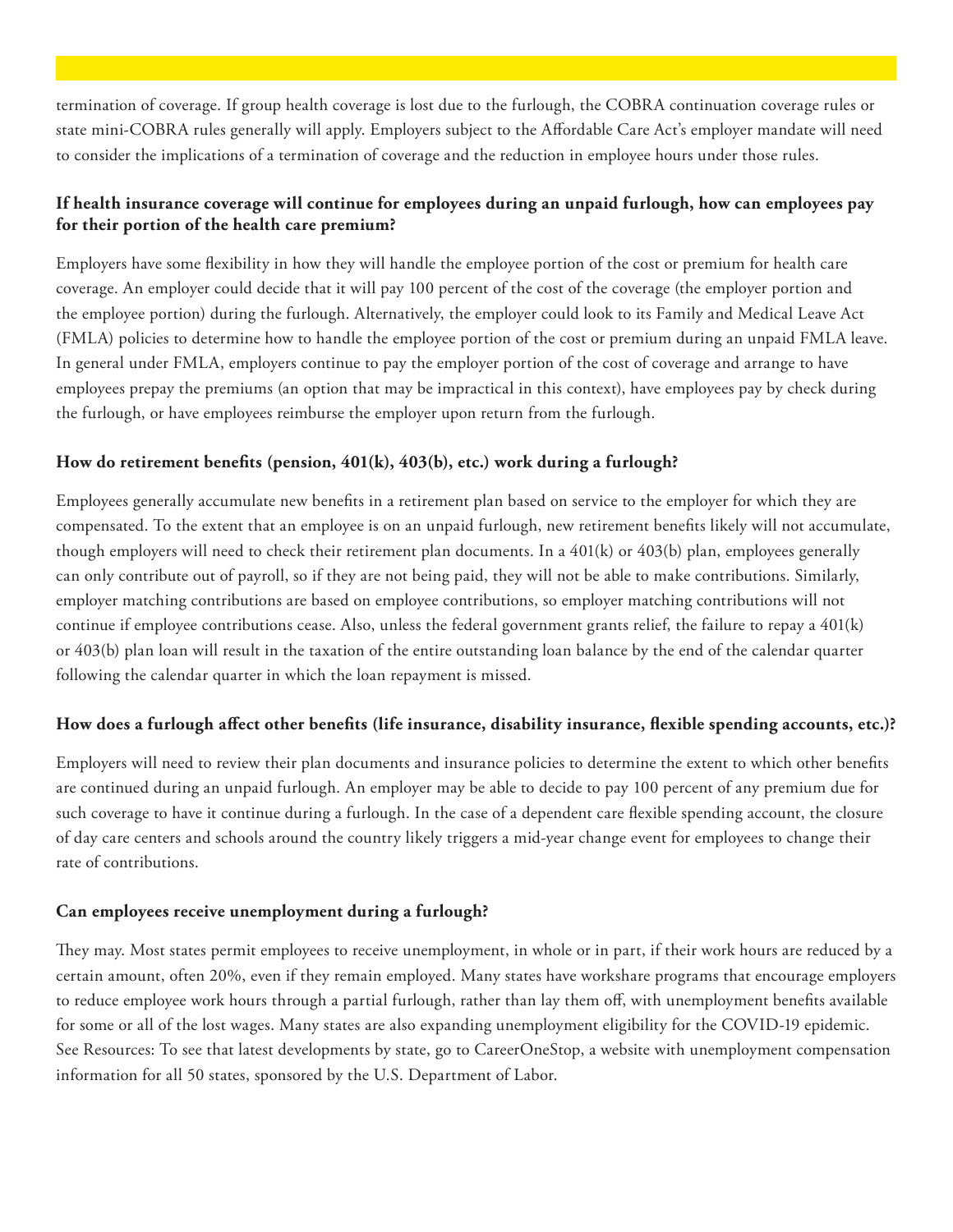termination of coverage. If group health coverage is lost due to the furlough, the COBRA continuation coverage rules or state mini-COBRA rules generally will apply. Employers subject to the Affordable Care Act's employer mandate will need to consider the implications of a termination of coverage and the reduction in employee hours under those rules.

#### **If health insurance coverage will continue for employees during an unpaid furlough, how can employees pay for their portion of the health care premium?**

Employers have some flexibility in how they will handle the employee portion of the cost or premium for health care coverage. An employer could decide that it will pay 100 percent of the cost of the coverage (the employer portion and the employee portion) during the furlough. Alternatively, the employer could look to its Family and Medical Leave Act (FMLA) policies to determine how to handle the employee portion of the cost or premium during an unpaid FMLA leave. In general under FMLA, employers continue to pay the employer portion of the cost of coverage and arrange to have employees prepay the premiums (an option that may be impractical in this context), have employees pay by check during the furlough, or have employees reimburse the employer upon return from the furlough.

#### **How do retirement benefits (pension, 401(k), 403(b), etc.) work during a furlough?**

Employees generally accumulate new benefits in a retirement plan based on service to the employer for which they are compensated. To the extent that an employee is on an unpaid furlough, new retirement benefits likely will not accumulate, though employers will need to check their retirement plan documents. In a 401(k) or 403(b) plan, employees generally can only contribute out of payroll, so if they are not being paid, they will not be able to make contributions. Similarly, employer matching contributions are based on employee contributions, so employer matching contributions will not continue if employee contributions cease. Also, unless the federal government grants relief, the failure to repay a 401(k) or 403(b) plan loan will result in the taxation of the entire outstanding loan balance by the end of the calendar quarter following the calendar quarter in which the loan repayment is missed.

#### **How does a furlough affect other benefits (life insurance, disability insurance, flexible spending accounts, etc.)?**

Employers will need to review their plan documents and insurance policies to determine the extent to which other benefits are continued during an unpaid furlough. An employer may be able to decide to pay 100 percent of any premium due for such coverage to have it continue during a furlough. In the case of a dependent care flexible spending account, the closure of day care centers and schools around the country likely triggers a mid-year change event for employees to change their rate of contributions.

#### **Can employees receive unemployment during a furlough?**

They may. Most states permit employees to receive unemployment, in whole or in part, if their work hours are reduced by a certain amount, often 20%, even if they remain employed. Many states have workshare programs that encourage employers to reduce employee work hours through a partial furlough, rather than lay them off, with unemployment benefits available for some or all of the lost wages. Many states are also expanding unemployment eligibility for the COVID-19 epidemic. See Resources: To see that latest developments by state, go to CareerOneStop, a website with unemployment compensation information for all 50 states, sponsored by the U.S. Department of Labor.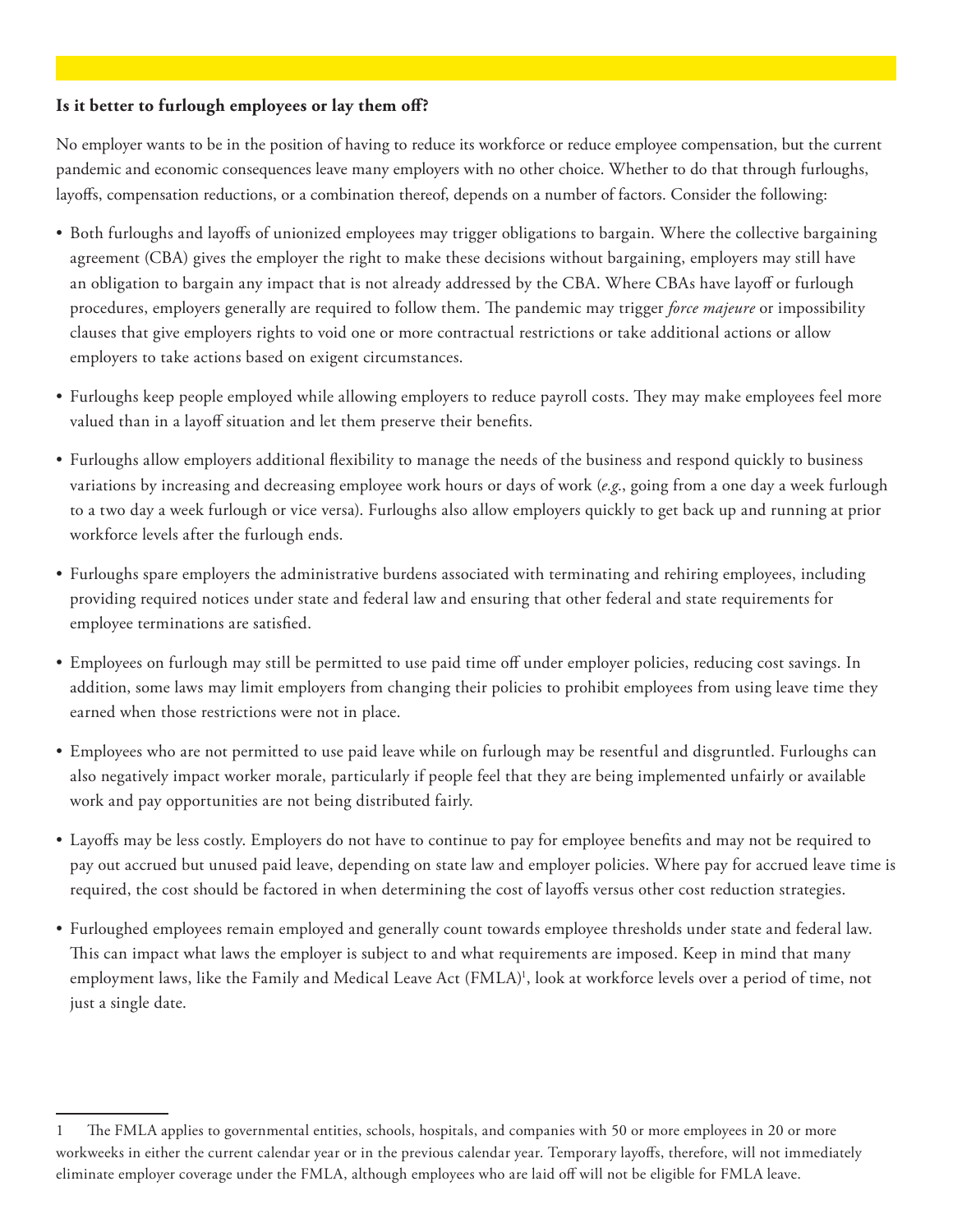#### **Is it better to furlough employees or lay them off?**

No employer wants to be in the position of having to reduce its workforce or reduce employee compensation, but the current pandemic and economic consequences leave many employers with no other choice. Whether to do that through furloughs, layoffs, compensation reductions, or a combination thereof, depends on a number of factors. Consider the following:

- Both furloughs and layoffs of unionized employees may trigger obligations to bargain. Where the collective bargaining agreement (CBA) gives the employer the right to make these decisions without bargaining, employers may still have an obligation to bargain any impact that is not already addressed by the CBA. Where CBAs have layoff or furlough procedures, employers generally are required to follow them. The pandemic may trigger *force majeure* or impossibility clauses that give employers rights to void one or more contractual restrictions or take additional actions or allow employers to take actions based on exigent circumstances.
- Furloughs keep people employed while allowing employers to reduce payroll costs. They may make employees feel more valued than in a layoff situation and let them preserve their benefits.
- Furloughs allow employers additional flexibility to manage the needs of the business and respond quickly to business variations by increasing and decreasing employee work hours or days of work (*e.g*., going from a one day a week furlough to a two day a week furlough or vice versa). Furloughs also allow employers quickly to get back up and running at prior workforce levels after the furlough ends.
- Furloughs spare employers the administrative burdens associated with terminating and rehiring employees, including providing required notices under state and federal law and ensuring that other federal and state requirements for employee terminations are satisfied.
- Employees on furlough may still be permitted to use paid time off under employer policies, reducing cost savings. In addition, some laws may limit employers from changing their policies to prohibit employees from using leave time they earned when those restrictions were not in place.
- Employees who are not permitted to use paid leave while on furlough may be resentful and disgruntled. Furloughs can also negatively impact worker morale, particularly if people feel that they are being implemented unfairly or available work and pay opportunities are not being distributed fairly.
- Layoffs may be less costly. Employers do not have to continue to pay for employee benefits and may not be required to pay out accrued but unused paid leave, depending on state law and employer policies. Where pay for accrued leave time is required, the cost should be factored in when determining the cost of layoffs versus other cost reduction strategies.
- Furloughed employees remain employed and generally count towards employee thresholds under state and federal law. This can impact what laws the employer is subject to and what requirements are imposed. Keep in mind that many employment laws, like the Family and Medical Leave Act (FMLA)<sup>1</sup>, look at workforce levels over a period of time, not just a single date.

<sup>1</sup> The FMLA applies to governmental entities, schools, hospitals, and companies with 50 or more employees in 20 or more workweeks in either the current calendar year or in the previous calendar year. Temporary layoffs, therefore, will not immediately eliminate employer coverage under the FMLA, although employees who are laid off will not be eligible for FMLA leave.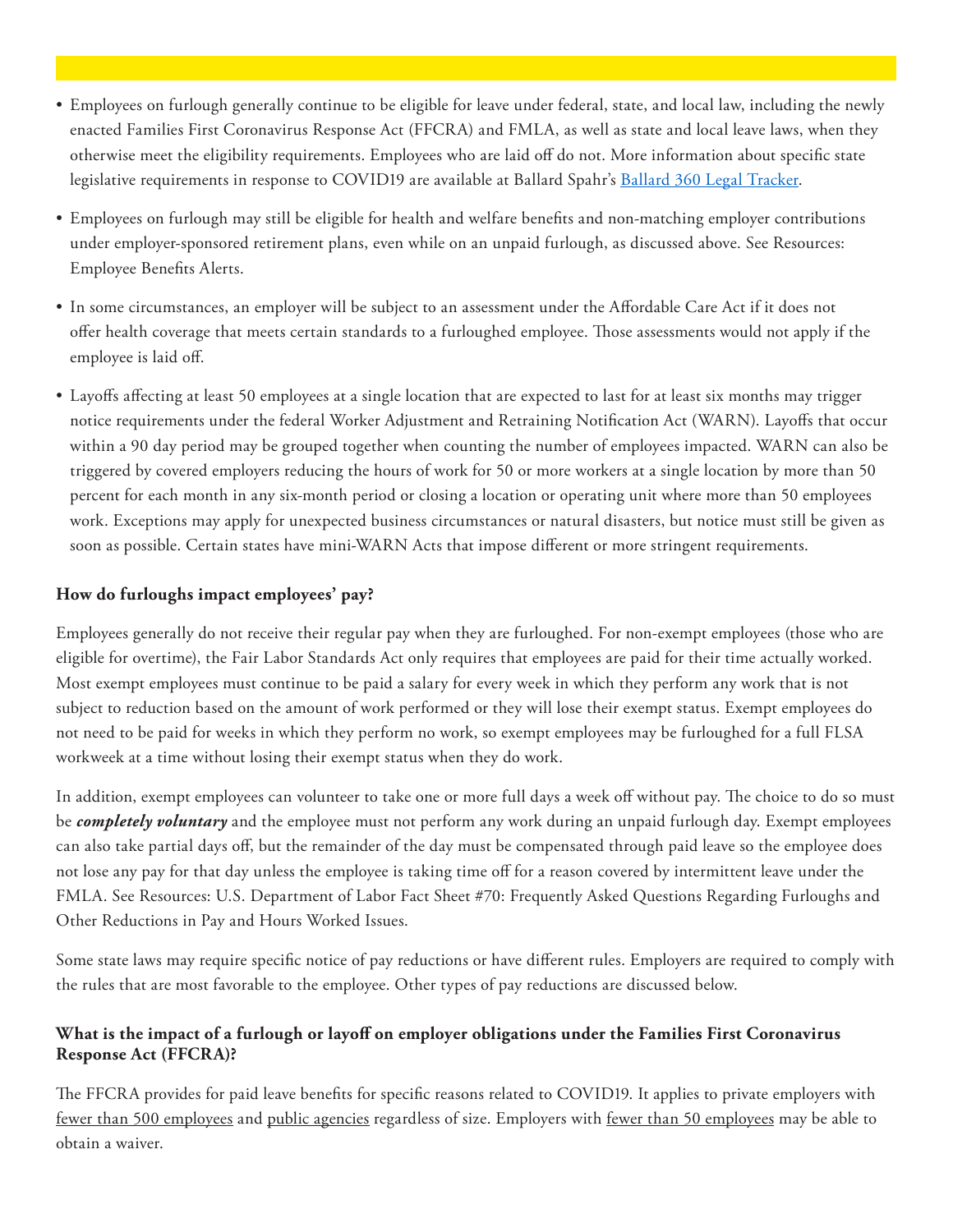- Employees on furlough generally continue to be eligible for leave under federal, state, and local law, including the newly enacted Families First Coronavirus Response Act (FFCRA) and FMLA, as well as state and local leave laws, when they otherwise meet the eligibility requirements. Employees who are laid off do not. More information about specific state legislative requirements in response to COVID19 are available at Ballard Spahr's [Ballard 360 Legal Tracker](file:///C:\Users\MentzR\Desktop\eyJrIjoiYzRiODRmMzEtMmM3Yy00N2RlLTk4NmYtOTc2YTQyMGFkNGNhIiwidCI6ImU2NzBlZjg1LTY4MjMtNGU2Mi05NWZhLWYwNTFmZDFhYmZlNyIsImMiOjF9).
- Employees on furlough may still be eligible for health and welfare benefits and non-matching employer contributions under employer-sponsored retirement plans, even while on an unpaid furlough, as discussed above. See Resources: Employee Benefits Alerts.
- In some circumstances, an employer will be subject to an assessment under the Affordable Care Act if it does not offer health coverage that meets certain standards to a furloughed employee. Those assessments would not apply if the employee is laid off.
- Layoffs affecting at least 50 employees at a single location that are expected to last for at least six months may trigger notice requirements under the federal Worker Adjustment and Retraining Notification Act (WARN). Layoffs that occur within a 90 day period may be grouped together when counting the number of employees impacted. WARN can also be triggered by covered employers reducing the hours of work for 50 or more workers at a single location by more than 50 percent for each month in any six-month period or closing a location or operating unit where more than 50 employees work. Exceptions may apply for unexpected business circumstances or natural disasters, but notice must still be given as soon as possible. Certain states have mini-WARN Acts that impose different or more stringent requirements.

#### **How do furloughs impact employees' pay?**

Employees generally do not receive their regular pay when they are furloughed. For non-exempt employees (those who are eligible for overtime), the Fair Labor Standards Act only requires that employees are paid for their time actually worked. Most exempt employees must continue to be paid a salary for every week in which they perform any work that is not subject to reduction based on the amount of work performed or they will lose their exempt status. Exempt employees do not need to be paid for weeks in which they perform no work, so exempt employees may be furloughed for a full FLSA workweek at a time without losing their exempt status when they do work.

In addition, exempt employees can volunteer to take one or more full days a week off without pay. The choice to do so must be *completely voluntary* and the employee must not perform any work during an unpaid furlough day. Exempt employees can also take partial days off, but the remainder of the day must be compensated through paid leave so the employee does not lose any pay for that day unless the employee is taking time off for a reason covered by intermittent leave under the FMLA. See Resources: U.S. Department of Labor Fact Sheet #70: Frequently Asked Questions Regarding Furloughs and Other Reductions in Pay and Hours Worked Issues.

Some state laws may require specific notice of pay reductions or have different rules. Employers are required to comply with the rules that are most favorable to the employee. Other types of pay reductions are discussed below.

#### **What is the impact of a furlough or layoff on employer obligations under the Families First Coronavirus Response Act (FFCRA)?**

The FFCRA provides for paid leave benefits for specific reasons related to COVID19. It applies to private employers with fewer than 500 employees and public agencies regardless of size. Employers with fewer than 50 employees may be able to obtain a waiver.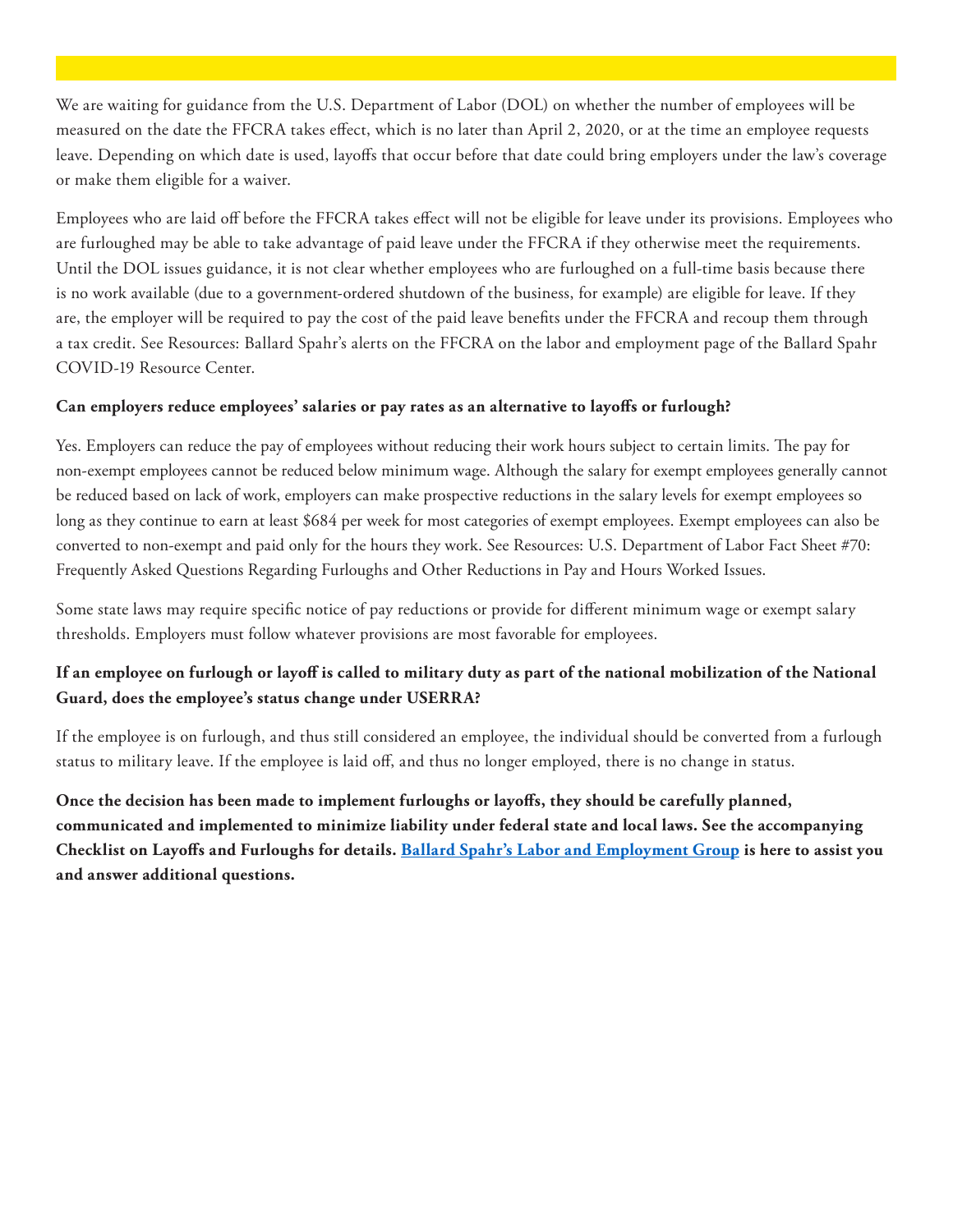We are waiting for guidance from the U.S. Department of Labor (DOL) on whether the number of employees will be measured on the date the FFCRA takes effect, which is no later than April 2, 2020, or at the time an employee requests leave. Depending on which date is used, layoffs that occur before that date could bring employers under the law's coverage or make them eligible for a waiver.

Employees who are laid off before the FFCRA takes effect will not be eligible for leave under its provisions. Employees who are furloughed may be able to take advantage of paid leave under the FFCRA if they otherwise meet the requirements. Until the DOL issues guidance, it is not clear whether employees who are furloughed on a full-time basis because there is no work available (due to a government-ordered shutdown of the business, for example) are eligible for leave. If they are, the employer will be required to pay the cost of the paid leave benefits under the FFCRA and recoup them through a tax credit. See Resources: Ballard Spahr's alerts on the FFCRA on the labor and employment page of the Ballard Spahr COVID-19 Resource Center.

#### **Can employers reduce employees' salaries or pay rates as an alternative to layoffs or furlough?**

Yes. Employers can reduce the pay of employees without reducing their work hours subject to certain limits. The pay for non-exempt employees cannot be reduced below minimum wage. Although the salary for exempt employees generally cannot be reduced based on lack of work, employers can make prospective reductions in the salary levels for exempt employees so long as they continue to earn at least \$684 per week for most categories of exempt employees. Exempt employees can also be converted to non-exempt and paid only for the hours they work. See Resources: U.S. Department of Labor Fact Sheet #70: Frequently Asked Questions Regarding Furloughs and Other Reductions in Pay and Hours Worked Issues.

Some state laws may require specific notice of pay reductions or provide for different minimum wage or exempt salary thresholds. Employers must follow whatever provisions are most favorable for employees.

#### **If an employee on furlough or layoff is called to military duty as part of the national mobilization of the National Guard, does the employee's status change under USERRA?**

If the employee is on furlough, and thus still considered an employee, the individual should be converted from a furlough status to military leave. If the employee is laid off, and thus no longer employed, there is no change in status.

**Once the decision has been made to implement furloughs or layoffs, they should be carefully planned, communicated and implemented to minimize liability under federal state and local laws. See the accompanying Checklist on Layoffs and Furloughs for details. [Ballard Spahr's Labor and Employment Group](https://www.ballardspahr.com/practiceareas/practices/labor_employment) is here to assist you and answer additional questions.**